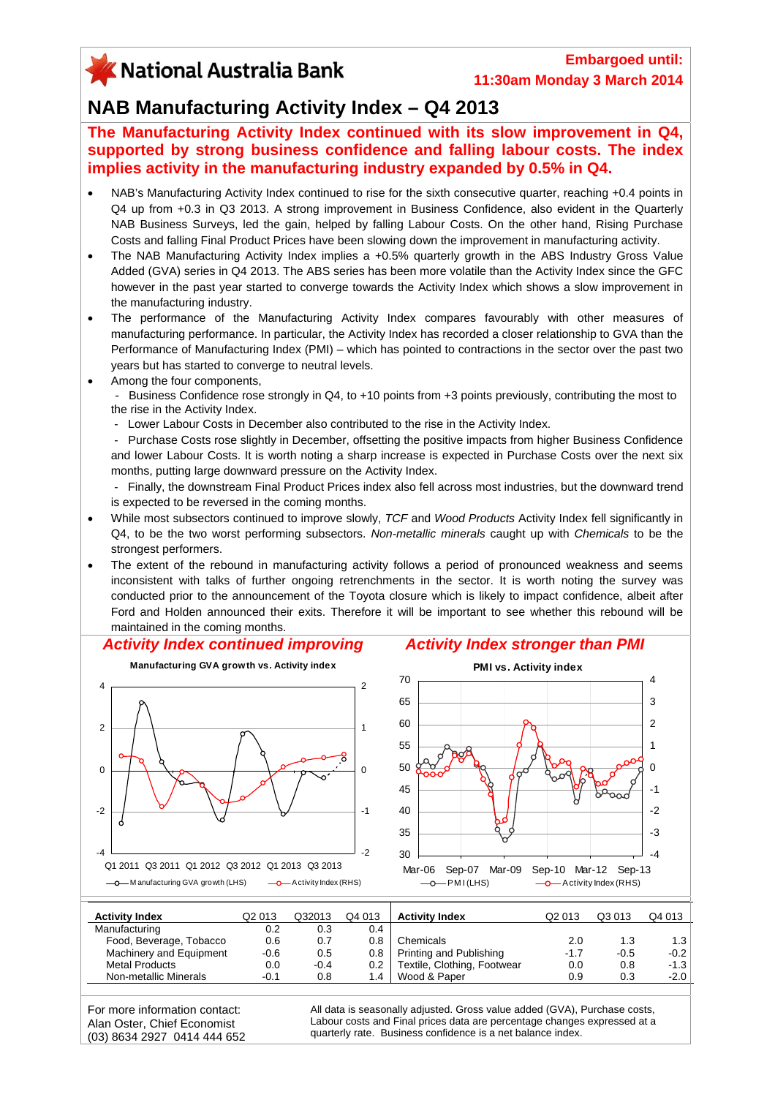# KNational Australia Bank

## **NAB Manufacturing Activity Index – Q4 2013**

**The Manufacturing Activity Index continued with its slow improvement in Q4, supported by strong business confidence and falling labour costs. The index implies activity in the manufacturing industry expanded by 0.5% in Q4.** 

- NAB's Manufacturing Activity Index continued to rise for the sixth consecutive quarter, reaching +0.4 points in Q4 up from +0.3 in Q3 2013. A strong improvement in Business Confidence, also evident in the Quarterly NAB Business Surveys, led the gain, helped by falling Labour Costs. On the other hand, Rising Purchase Costs and falling Final Product Prices have been slowing down the improvement in manufacturing activity.
- The NAB Manufacturing Activity Index implies a +0.5% quarterly growth in the ABS Industry Gross Value Added (GVA) series in Q4 2013. The ABS series has been more volatile than the Activity Index since the GFC however in the past year started to converge towards the Activity Index which shows a slow improvement in the manufacturing industry.
- The performance of the Manufacturing Activity Index compares favourably with other measures of manufacturing performance. In particular, the Activity Index has recorded a closer relationship to GVA than the Performance of Manufacturing Index (PMI) – which has pointed to contractions in the sector over the past two years but has started to converge to neutral levels.
- Among the four components,

 - Business Confidence rose strongly in Q4, to +10 points from +3 points previously, contributing the most to the rise in the Activity Index.

- Lower Labour Costs in December also contributed to the rise in the Activity Index.

 - Purchase Costs rose slightly in December, offsetting the positive impacts from higher Business Confidence and lower Labour Costs. It is worth noting a sharp increase is expected in Purchase Costs over the next six months, putting large downward pressure on the Activity Index.

- Finally, the downstream Final Product Prices index also fell across most industries, but the downward trend is expected to be reversed in the coming months.
- While most subsectors continued to improve slowly, *TCF* and *Wood Products* Activity Index fell significantly in Q4, to be the two worst performing subsectors. *Non-metallic minerals* caught up with *Chemicals* to be the strongest performers.
- The extent of the rebound in manufacturing activity follows a period of pronounced weakness and seems inconsistent with talks of further ongoing retrenchments in the sector. It is worth noting the survey was conducted prior to the announcement of the Toyota closure which is likely to impact confidence, albeit after Ford and Holden announced their exits. Therefore it will be important to see whether this rebound will be maintained in the coming months.

#### *Activity Index continued improving*





| <b>Activity Index</b>   | Q2 013 | Q32013 | Q4 013           | <b>Activity Index</b>       | Q2 013 | Q3 013 | Q4 013 |
|-------------------------|--------|--------|------------------|-----------------------------|--------|--------|--------|
| Manufacturing           | 0.2    | 0.3    | 0.4              |                             |        |        |        |
| Food, Beverage, Tobacco | 0.6    | 0.7    | 0.8              | Chemicals                   | 2.0    |        | 1.3    |
| Machinery and Equipment | -0.6   | 0.5    | 0.8 <sub>1</sub> | Printing and Publishing     | $-1.7$ | $-0.5$ | $-0.2$ |
| Metal Products          | 0.0    | $-0.4$ | 0.2 <sub>1</sub> | Textile, Clothing, Footwear | 0.0    | 0.8    | $-1.3$ |
| Non-metallic Minerals   | $-0.1$ | 0.8    | 1.4 <sub>1</sub> | Wood & Paper                | 0.9    | 0.3    | $-2.0$ |
|                         |        |        |                  |                             |        |        |        |

For more information contact: Alan Oster, Chief Economist (03) 8634 2927 0414 444 652 All data is seasonally adjusted. Gross value added (GVA), Purchase costs, Labour costs and Final prices data are percentage changes expressed at a quarterly rate. Business confidence is a net balance index.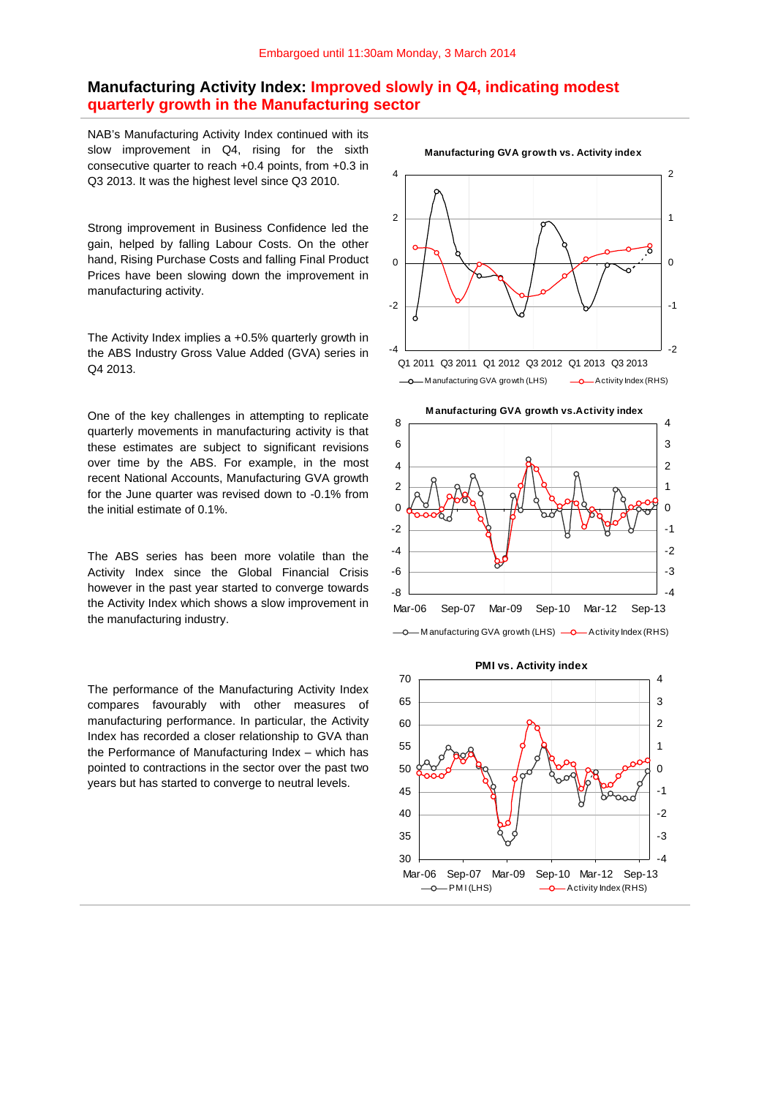#### **Manufacturing Activity Index: Improved slowly in Q4, indicating modest quarterly growth in the Manufacturing sector**

NAB's Manufacturing Activity Index continued with its slow improvement in Q4, rising for the sixth consecutive quarter to reach +0.4 points, from +0.3 in Q3 2013. It was the highest level since Q3 2010.

Strong improvement in Business Confidence led the gain, helped by falling Labour Costs. On the other hand, Rising Purchase Costs and falling Final Product Prices have been slowing down the improvement in manufacturing activity.

The Activity Index implies a +0.5% quarterly growth in the ABS Industry Gross Value Added (GVA) series in Q4 2013.

One of the key challenges in attempting to replicate quarterly movements in manufacturing activity is that these estimates are subject to significant revisions over time by the ABS. For example, in the most recent National Accounts, Manufacturing GVA growth for the June quarter was revised down to -0.1% from the initial estimate of 0.1%.

The ABS series has been more volatile than the Activity Index since the Global Financial Crisis however in the past year started to converge towards the Activity Index which shows a slow improvement in the manufacturing industry.

The performance of the Manufacturing Activity Index compares favourably with other measures of manufacturing performance. In particular, the Activity Index has recorded a closer relationship to GVA than the Performance of Manufacturing Index – which has pointed to contractions in the sector over the past two years but has started to converge to neutral levels.









 **Manufacturing GVA growth vs. Activity index**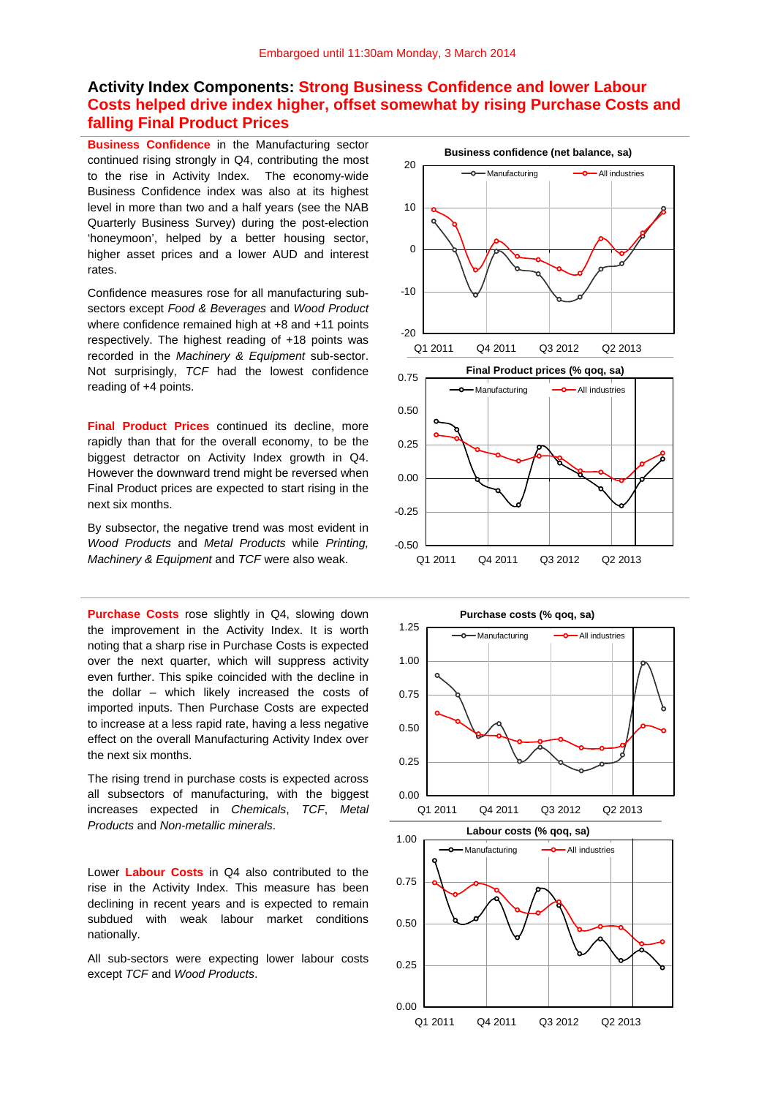#### **Activity Index Components: Strong Business Confidence and lower Labour Costs helped drive index higher, offset somewhat by rising Purchase Costs and falling Final Product Prices**

**Business Confidence** in the Manufacturing sector continued rising strongly in Q4, contributing the most to the rise in Activity Index. The economy-wide Business Confidence index was also at its highest level in more than two and a half years (see the NAB Quarterly Business Survey) during the post-election 'honeymoon', helped by a better housing sector, higher asset prices and a lower AUD and interest rates.

Confidence measures rose for all manufacturing subsectors except *Food & Beverages* and *Wood Product* where confidence remained high at +8 and +11 points respectively. The highest reading of +18 points was recorded in the *Machinery & Equipment* sub-sector. Not surprisingly, *TCF* had the lowest confidence reading of +4 points.

**Final Product Prices** continued its decline, more rapidly than that for the overall economy, to be the biggest detractor on Activity Index growth in Q4. However the downward trend might be reversed when Final Product prices are expected to start rising in the next six months.

By subsector, the negative trend was most evident in *Wood Products* and *Metal Products* while *Printing, Machinery & Equipment* and *TCF* were also weak.

**Purchase Costs** rose slightly in Q4, slowing down the improvement in the Activity Index. It is worth noting that a sharp rise in Purchase Costs is expected over the next quarter, which will suppress activity even further. This spike coincided with the decline in the dollar – which likely increased the costs of imported inputs. Then Purchase Costs are expected to increase at a less rapid rate, having a less negative effect on the overall Manufacturing Activity Index over the next six months.

The rising trend in purchase costs is expected across all subsectors of manufacturing, with the biggest increases expected in *Chemicals*, *TCF*, *Metal Products* and *Non-metallic minerals*.

Lower **Labour Costs** in Q4 also contributed to the rise in the Activity Index. This measure has been declining in recent years and is expected to remain subdued with weak labour market conditions nationally.

All sub-sectors were expecting lower labour costs except *TCF* and *Wood Products*.



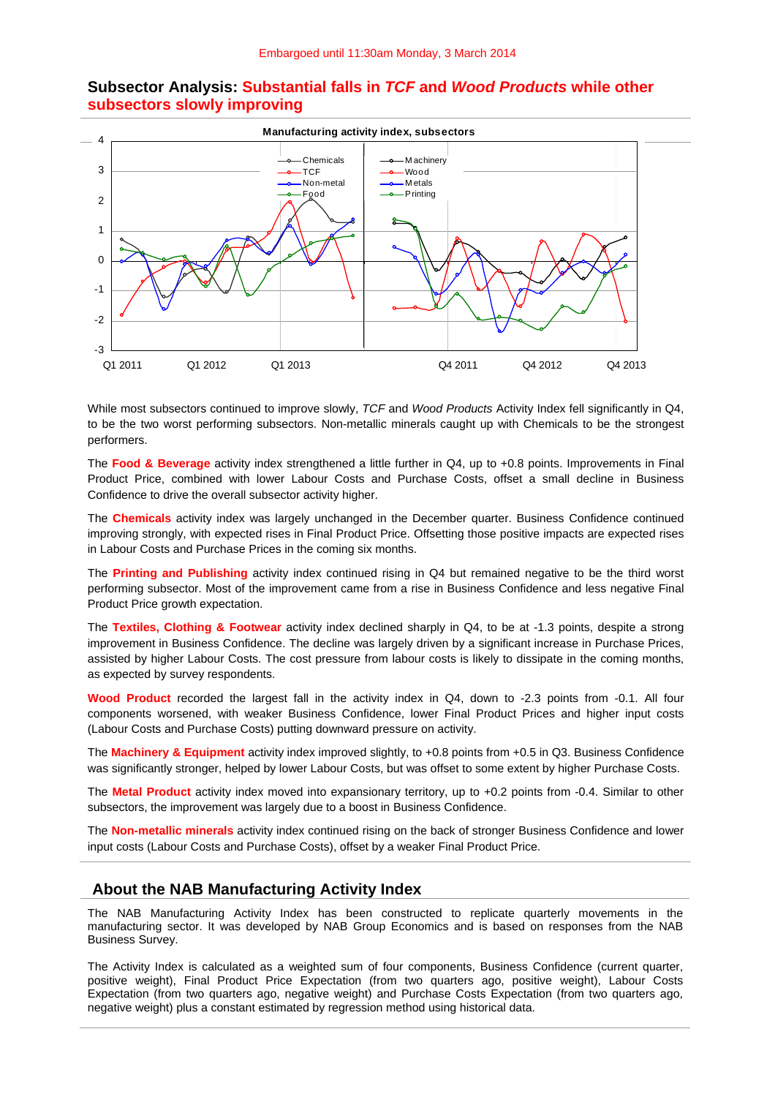

#### **Subsector Analysis: Substantial falls in** *TCF* **and** *Wood Products* **while other subsectors slowly improving**

While most subsectors continued to improve slowly, *TCF* and *Wood Products* Activity Index fell significantly in Q4, to be the two worst performing subsectors. Non-metallic minerals caught up with Chemicals to be the strongest performers.

The **Food & Beverage** activity index strengthened a little further in Q4, up to +0.8 points. Improvements in Final Product Price, combined with lower Labour Costs and Purchase Costs, offset a small decline in Business Confidence to drive the overall subsector activity higher.

The **Chemicals** activity index was largely unchanged in the December quarter. Business Confidence continued improving strongly, with expected rises in Final Product Price. Offsetting those positive impacts are expected rises in Labour Costs and Purchase Prices in the coming six months.

The **Printing and Publishing** activity index continued rising in Q4 but remained negative to be the third worst performing subsector. Most of the improvement came from a rise in Business Confidence and less negative Final Product Price growth expectation.

The **Textiles, Clothing & Footwear** activity index declined sharply in Q4, to be at -1.3 points, despite a strong improvement in Business Confidence. The decline was largely driven by a significant increase in Purchase Prices, assisted by higher Labour Costs. The cost pressure from labour costs is likely to dissipate in the coming months, as expected by survey respondents.

**Wood Product** recorded the largest fall in the activity index in Q4, down to -2.3 points from -0.1. All four components worsened, with weaker Business Confidence, lower Final Product Prices and higher input costs (Labour Costs and Purchase Costs) putting downward pressure on activity.

The **Machinery & Equipment** activity index improved slightly, to +0.8 points from +0.5 in Q3. Business Confidence was significantly stronger, helped by lower Labour Costs, but was offset to some extent by higher Purchase Costs.

The **Metal Product** activity index moved into expansionary territory, up to +0.2 points from -0.4. Similar to other subsectors, the improvement was largely due to a boost in Business Confidence.

The **Non-metallic minerals** activity index continued rising on the back of stronger Business Confidence and lower input costs (Labour Costs and Purchase Costs), offset by a weaker Final Product Price.

#### **About the NAB Manufacturing Activity Index**

The NAB Manufacturing Activity Index has been constructed to replicate quarterly movements in the manufacturing sector. It was developed by NAB Group Economics and is based on responses from the NAB Business Survey.

The Activity Index is calculated as a weighted sum of four components, Business Confidence (current quarter, positive weight), Final Product Price Expectation (from two quarters ago, positive weight), Labour Costs Expectation (from two quarters ago, negative weight) and Purchase Costs Expectation (from two quarters ago, negative weight) plus a constant estimated by regression method using historical data.